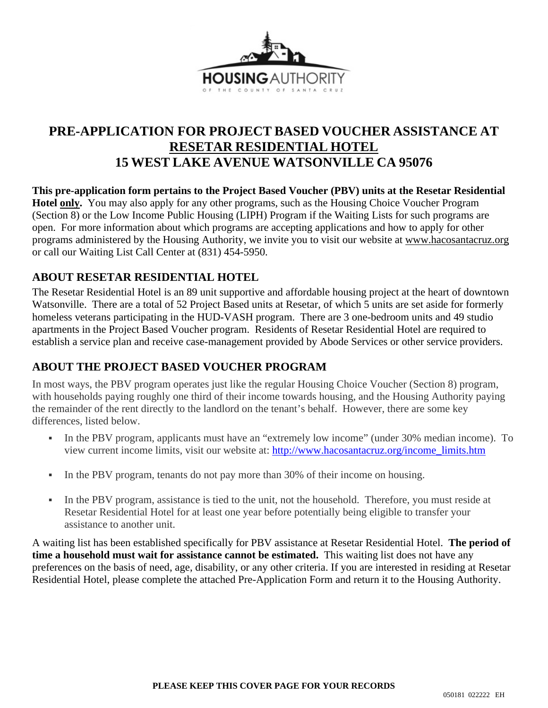

# **PRE-APPLICATION FOR PROJECT BASED VOUCHER ASSISTANCE AT RESETAR RESIDENTIAL HOTEL 15 WEST LAKE AVENUE WATSONVILLE CA 95076**

**This pre-application form pertains to the Project Based Voucher (PBV) units at the Resetar Residential Hotel only.** You may also apply for any other programs, such as the Housing Choice Voucher Program (Section 8) or the Low Income Public Housing (LIPH) Program if the Waiting Lists for such programs are open. For more information about which programs are accepting applications and how to apply for other programs administered by the Housing Authority, we invite you to visit our website at [www.hacosantacruz.org](http://www.hacosantacruz.org/) or call our Waiting List Call Center at (831) 454-5950.

### **ABOUT RESETAR RESIDENTIAL HOTEL**

The Resetar Residential Hotel is an 89 unit supportive and affordable housing project at the heart of downtown Watsonville. There are a total of 52 Project Based units at Resetar, of which 5 units are set aside for formerly homeless veterans participating in the HUD-VASH program. There are 3 one-bedroom units and 49 studio apartments in the Project Based Voucher program. Residents of Resetar Residential Hotel are required to establish a service plan and receive case-management provided by Abode Services or other service providers.

### **ABOUT THE PROJECT BASED VOUCHER PROGRAM**

In most ways, the PBV program operates just like the regular Housing Choice Voucher (Section 8) program, with households paying roughly one third of their income towards housing, and the Housing Authority paying the remainder of the rent directly to the landlord on the tenant's behalf. However, there are some key differences, listed below.

- In the PBV program, applicants must have an "extremely low income" (under 30% median income). To view current income limits, visit our website at: [http://www.hacosantacruz.org/income\\_limits.htm](http://www.hacosantacruz.org/income_limits.htm)
- In the PBV program, tenants do not pay more than 30% of their income on housing.
- In the PBV program, assistance is tied to the unit, not the household. Therefore, you must reside at Resetar Residential Hotel for at least one year before potentially being eligible to transfer your assistance to another unit.

A waiting list has been established specifically for PBV assistance at Resetar Residential Hotel. **The period of time a household must wait for assistance cannot be estimated.** This waiting list does not have any preferences on the basis of need, age, disability, or any other criteria. If you are interested in residing at Resetar Residential Hotel, please complete the attached Pre-Application Form and return it to the Housing Authority.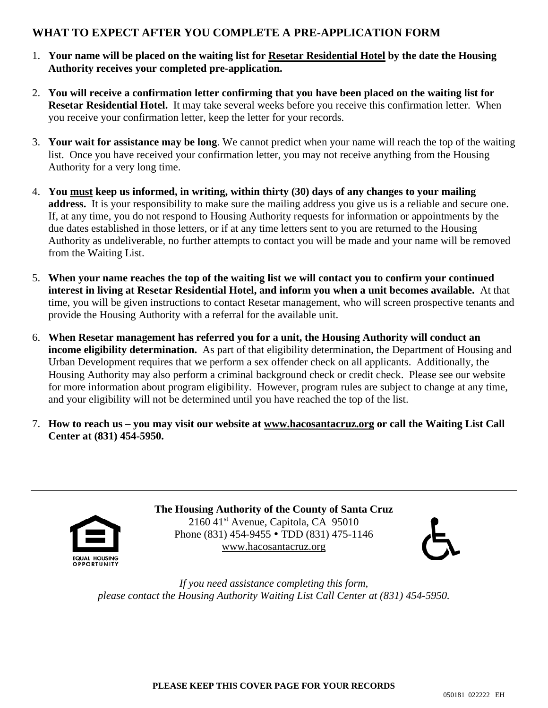### **WHAT TO EXPECT AFTER YOU COMPLETE A PRE-APPLICATION FORM**

- 1. **Your name will be placed on the waiting list for Resetar Residential Hotel by the date the Housing Authority receives your completed pre-application.**
- 2. **You will receive a confirmation letter confirming that you have been placed on the waiting list for Resetar Residential Hotel.** It may take several weeks before you receive this confirmation letter. When you receive your confirmation letter, keep the letter for your records.
- 3. **Your wait for assistance may be long**. We cannot predict when your name will reach the top of the waiting list. Once you have received your confirmation letter, you may not receive anything from the Housing Authority for a very long time.
- 4. **You must keep us informed, in writing, within thirty (30) days of any changes to your mailing address.** It is your responsibility to make sure the mailing address you give us is a reliable and secure one. If, at any time, you do not respond to Housing Authority requests for information or appointments by the due dates established in those letters, or if at any time letters sent to you are returned to the Housing Authority as undeliverable, no further attempts to contact you will be made and your name will be removed from the Waiting List.
- 5. **When your name reaches the top of the waiting list we will contact you to confirm your continued interest in living at Resetar Residential Hotel, and inform you when a unit becomes available.** At that time, you will be given instructions to contact Resetar management, who will screen prospective tenants and provide the Housing Authority with a referral for the available unit.
- 6. **When Resetar management has referred you for a unit, the Housing Authority will conduct an income eligibility determination.** As part of that eligibility determination, the Department of Housing and Urban Development requires that we perform a sex offender check on all applicants. Additionally, the Housing Authority may also perform a criminal background check or credit check. Please see our website for more information about program eligibility. However, program rules are subject to change at any time, and your eligibility will not be determined until you have reached the top of the list.
- 7. **How to reach us – you may visit our website at [www.hacosantacruz.org](http://www.hacosantacruz.org/) or call the Waiting List Call Center at (831) 454-5950.**



**The Housing Authority of the County of Santa Cruz** 2160 41<sup>st</sup> Avenue, Capitola, CA 95010 Phone (831) 454-9455 • TDD (831) 475-1146 [www.hacosantacruz.org](http://www.hacosantacruz.org/)

*If you need assistance completing this form, please contact the Housing Authority Waiting List Call Center at (831) 454-5950.*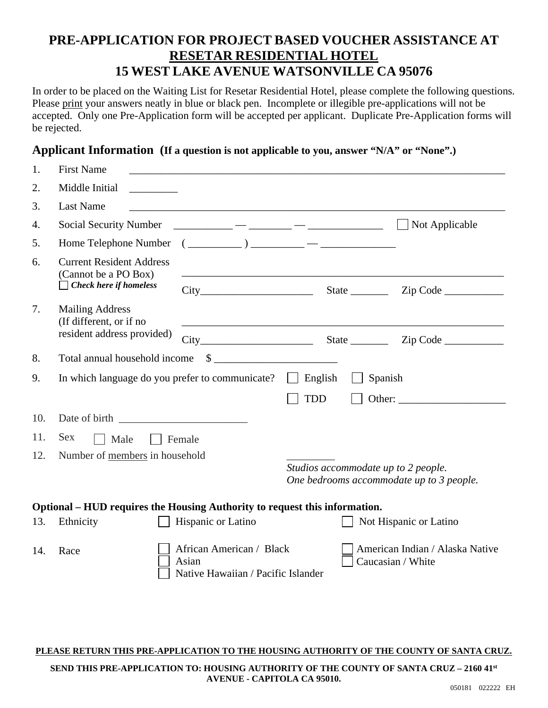## **PRE-APPLICATION FOR PROJECT BASED VOUCHER ASSISTANCE AT RESETAR RESIDENTIAL HOTEL 15 WEST LAKE AVENUE WATSONVILLE CA 95076**

In order to be placed on the Waiting List for Resetar Residential Hotel, please complete the following questions. Please print your answers neatly in blue or black pen. Incomplete or illegible pre-applications will not be accepted. Only one Pre-Application form will be accepted per applicant. Duplicate Pre-Application forms will be rejected.

### **Applicant Information (If a question is not applicable to you, answer "N/A" or "None".)**

| 1.                                                                         | <b>First Name</b>                                                     |                                                                                                                                 |                                                                                 |                        |  |  |
|----------------------------------------------------------------------------|-----------------------------------------------------------------------|---------------------------------------------------------------------------------------------------------------------------------|---------------------------------------------------------------------------------|------------------------|--|--|
| 2.                                                                         | Middle Initial                                                        |                                                                                                                                 |                                                                                 |                        |  |  |
| 3.                                                                         | <b>Last Name</b>                                                      |                                                                                                                                 |                                                                                 |                        |  |  |
| 4.                                                                         | Social Security Number                                                |                                                                                                                                 |                                                                                 | Not Applicable         |  |  |
| 5.                                                                         | Home Telephone Number                                                 |                                                                                                                                 |                                                                                 |                        |  |  |
| 6.                                                                         | <b>Current Resident Address</b><br>(Cannot be a PO Box)               |                                                                                                                                 |                                                                                 |                        |  |  |
|                                                                            | $\Box$ Check here if homeless                                         |                                                                                                                                 |                                                                                 |                        |  |  |
| 7.                                                                         | <b>Mailing Address</b><br>(If different, or if no                     |                                                                                                                                 |                                                                                 |                        |  |  |
|                                                                            | resident address provided)                                            |                                                                                                                                 |                                                                                 | State <u>Cip</u> Code  |  |  |
| 8.                                                                         | $\mathcal{S}$<br>Total annual household income                        |                                                                                                                                 |                                                                                 |                        |  |  |
| 9.                                                                         | In which language do you prefer to communicate?<br>Spanish<br>English |                                                                                                                                 |                                                                                 |                        |  |  |
|                                                                            |                                                                       |                                                                                                                                 | <b>TDD</b>                                                                      |                        |  |  |
| 10.                                                                        |                                                                       |                                                                                                                                 |                                                                                 |                        |  |  |
| 11.                                                                        | <b>Sex</b><br>Female<br>Male                                          |                                                                                                                                 |                                                                                 |                        |  |  |
| 12.                                                                        | Number of members in household                                        |                                                                                                                                 |                                                                                 |                        |  |  |
|                                                                            |                                                                       |                                                                                                                                 | Studios accommodate up to 2 people.<br>One bedrooms accommodate up to 3 people. |                        |  |  |
| Optional – HUD requires the Housing Authority to request this information. |                                                                       |                                                                                                                                 |                                                                                 |                        |  |  |
| 13.                                                                        | Ethnicity                                                             | Hispanic or Latino                                                                                                              |                                                                                 | Not Hispanic or Latino |  |  |
| 14.                                                                        | Race                                                                  | African American / Black<br>American Indian / Alaska Native<br>Caucasian / White<br>Asian<br>Native Hawaiian / Pacific Islander |                                                                                 |                        |  |  |

#### **PLEASE RETURN THIS PRE-APPLICATION TO THE HOUSING AUTHORITY OF THE COUNTY OF SANTA CRUZ.**

**SEND THIS PRE-APPLICATION TO: HOUSING AUTHORITY OF THE COUNTY OF SANTA CRUZ – 2160 41st AVENUE - CAPITOLA CA 95010.**